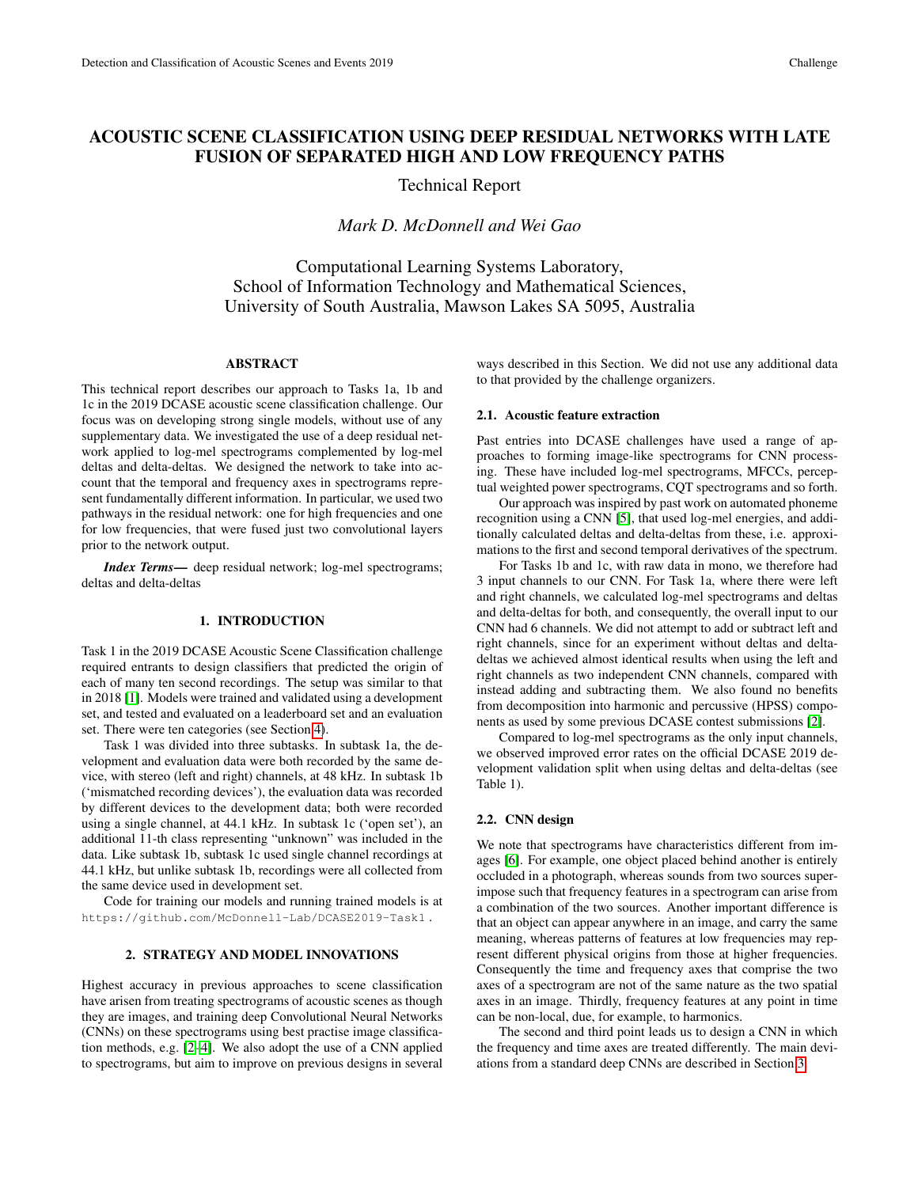## ACOUSTIC SCENE CLASSIFICATION USING DEEP RESIDUAL NETWORKS WITH LATE FUSION OF SEPARATED HIGH AND LOW FREQUENCY PATHS

Technical Report

*Mark D. McDonnell and Wei Gao*

Computational Learning Systems Laboratory, School of Information Technology and Mathematical Sciences, University of South Australia, Mawson Lakes SA 5095, Australia

## ABSTRACT

This technical report describes our approach to Tasks 1a, 1b and 1c in the 2019 DCASE acoustic scene classification challenge. Our focus was on developing strong single models, without use of any supplementary data. We investigated the use of a deep residual network applied to log-mel spectrograms complemented by log-mel deltas and delta-deltas. We designed the network to take into account that the temporal and frequency axes in spectrograms represent fundamentally different information. In particular, we used two pathways in the residual network: one for high frequencies and one for low frequencies, that were fused just two convolutional layers prior to the network output.

*Index Terms*— deep residual network; log-mel spectrograms; deltas and delta-deltas

#### 1. INTRODUCTION

Task 1 in the 2019 DCASE Acoustic Scene Classification challenge required entrants to design classifiers that predicted the origin of each of many ten second recordings. The setup was similar to that in 2018 [\[1\]](#page-4-0). Models were trained and validated using a development set, and tested and evaluated on a leaderboard set and an evaluation set. There were ten categories (see Section [4\)](#page-2-0).

Task 1 was divided into three subtasks. In subtask 1a, the development and evaluation data were both recorded by the same device, with stereo (left and right) channels, at 48 kHz. In subtask 1b ('mismatched recording devices'), the evaluation data was recorded by different devices to the development data; both were recorded using a single channel, at 44.1 kHz. In subtask 1c ('open set'), an additional 11-th class representing "unknown" was included in the data. Like subtask 1b, subtask 1c used single channel recordings at 44.1 kHz, but unlike subtask 1b, recordings were all collected from the same device used in development set.

Code for training our models and running trained models is at https://github.com/McDonnell-Lab/DCASE2019-Task1 .

## 2. STRATEGY AND MODEL INNOVATIONS

Highest accuracy in previous approaches to scene classification have arisen from treating spectrograms of acoustic scenes as though they are images, and training deep Convolutional Neural Networks (CNNs) on these spectrograms using best practise image classification methods, e.g. [\[2–](#page-4-1)[4\]](#page-4-2). We also adopt the use of a CNN applied to spectrograms, but aim to improve on previous designs in several ways described in this Section. We did not use any additional data to that provided by the challenge organizers.

#### 2.1. Acoustic feature extraction

Past entries into DCASE challenges have used a range of approaches to forming image-like spectrograms for CNN processing. These have included log-mel spectrograms, MFCCs, perceptual weighted power spectrograms, CQT spectrograms and so forth.

Our approach was inspired by past work on automated phoneme recognition using a CNN [\[5\]](#page-4-3), that used log-mel energies, and additionally calculated deltas and delta-deltas from these, i.e. approximations to the first and second temporal derivatives of the spectrum.

For Tasks 1b and 1c, with raw data in mono, we therefore had 3 input channels to our CNN. For Task 1a, where there were left and right channels, we calculated log-mel spectrograms and deltas and delta-deltas for both, and consequently, the overall input to our CNN had 6 channels. We did not attempt to add or subtract left and right channels, since for an experiment without deltas and deltadeltas we achieved almost identical results when using the left and right channels as two independent CNN channels, compared with instead adding and subtracting them. We also found no benefits from decomposition into harmonic and percussive (HPSS) components as used by some previous DCASE contest submissions [\[2\]](#page-4-1).

Compared to log-mel spectrograms as the only input channels, we observed improved error rates on the official DCASE 2019 development validation split when using deltas and delta-deltas (see Table 1).

#### 2.2. CNN design

We note that spectrograms have characteristics different from images [\[6\]](#page-4-4). For example, one object placed behind another is entirely occluded in a photograph, whereas sounds from two sources superimpose such that frequency features in a spectrogram can arise from a combination of the two sources. Another important difference is that an object can appear anywhere in an image, and carry the same meaning, whereas patterns of features at low frequencies may represent different physical origins from those at higher frequencies. Consequently the time and frequency axes that comprise the two axes of a spectrogram are not of the same nature as the two spatial axes in an image. Thirdly, frequency features at any point in time can be non-local, due, for example, to harmonics.

The second and third point leads us to design a CNN in which the frequency and time axes are treated differently. The main deviations from a standard deep CNNs are described in Section [3.](#page-1-0)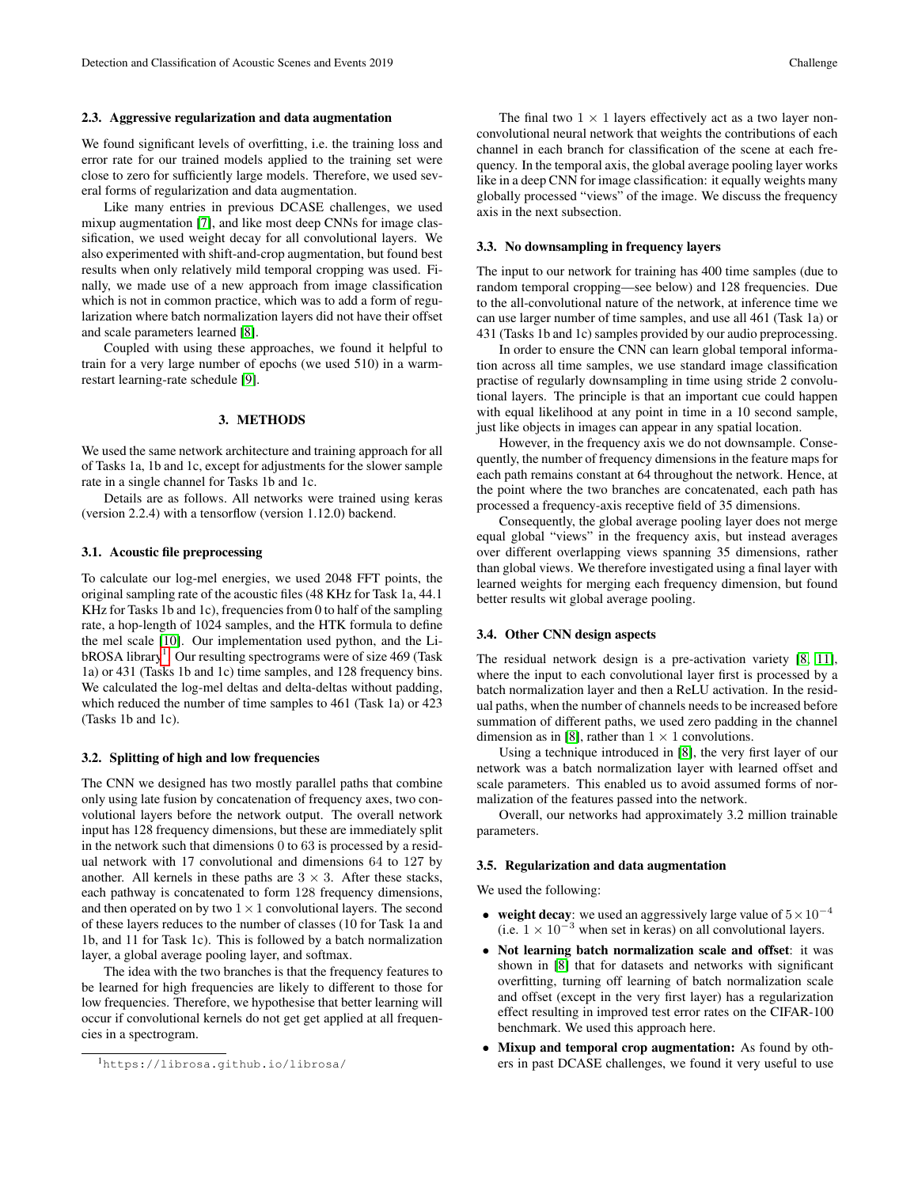#### 2.3. Aggressive regularization and data augmentation

We found significant levels of overfitting, i.e. the training loss and error rate for our trained models applied to the training set were close to zero for sufficiently large models. Therefore, we used several forms of regularization and data augmentation.

Like many entries in previous DCASE challenges, we used mixup augmentation [\[7\]](#page-4-5), and like most deep CNNs for image classification, we used weight decay for all convolutional layers. We also experimented with shift-and-crop augmentation, but found best results when only relatively mild temporal cropping was used. Finally, we made use of a new approach from image classification which is not in common practice, which was to add a form of regularization where batch normalization layers did not have their offset and scale parameters learned [\[8\]](#page-4-6).

Coupled with using these approaches, we found it helpful to train for a very large number of epochs (we used 510) in a warmrestart learning-rate schedule [\[9\]](#page-4-7).

## 3. METHODS

<span id="page-1-0"></span>We used the same network architecture and training approach for all of Tasks 1a, 1b and 1c, except for adjustments for the slower sample rate in a single channel for Tasks 1b and 1c.

Details are as follows. All networks were trained using keras (version 2.2.4) with a tensorflow (version 1.12.0) backend.

#### 3.1. Acoustic file preprocessing

To calculate our log-mel energies, we used 2048 FFT points, the original sampling rate of the acoustic files (48 KHz for Task 1a, 44.1 KHz for Tasks 1b and 1c), frequencies from 0 to half of the sampling rate, a hop-length of 1024 samples, and the HTK formula to define the mel scale [\[10\]](#page-4-8). Our implementation used python, and the Li-bROSA library<sup>[1](#page-1-1)</sup>. Our resulting spectrograms were of size 469 (Task 1a) or 431 (Tasks 1b and 1c) time samples, and 128 frequency bins. We calculated the log-mel deltas and delta-deltas without padding, which reduced the number of time samples to 461 (Task 1a) or 423 (Tasks 1b and 1c).

#### 3.2. Splitting of high and low frequencies

The CNN we designed has two mostly parallel paths that combine only using late fusion by concatenation of frequency axes, two convolutional layers before the network output. The overall network input has 128 frequency dimensions, but these are immediately split in the network such that dimensions 0 to 63 is processed by a residual network with 17 convolutional and dimensions 64 to 127 by another. All kernels in these paths are  $3 \times 3$ . After these stacks, each pathway is concatenated to form 128 frequency dimensions, and then operated on by two  $1 \times 1$  convolutional layers. The second of these layers reduces to the number of classes (10 for Task 1a and 1b, and 11 for Task 1c). This is followed by a batch normalization layer, a global average pooling layer, and softmax.

The idea with the two branches is that the frequency features to be learned for high frequencies are likely to different to those for low frequencies. Therefore, we hypothesise that better learning will occur if convolutional kernels do not get get applied at all frequencies in a spectrogram.

<span id="page-1-1"></span><sup>1</sup>https://librosa.github.io/librosa/

The final two  $1 \times 1$  layers effectively act as a two layer nonconvolutional neural network that weights the contributions of each channel in each branch for classification of the scene at each frequency. In the temporal axis, the global average pooling layer works like in a deep CNN for image classification: it equally weights many globally processed "views" of the image. We discuss the frequency axis in the next subsection.

## 3.3. No downsampling in frequency layers

The input to our network for training has 400 time samples (due to random temporal cropping—see below) and 128 frequencies. Due to the all-convolutional nature of the network, at inference time we can use larger number of time samples, and use all 461 (Task 1a) or 431 (Tasks 1b and 1c) samples provided by our audio preprocessing.

In order to ensure the CNN can learn global temporal information across all time samples, we use standard image classification practise of regularly downsampling in time using stride 2 convolutional layers. The principle is that an important cue could happen with equal likelihood at any point in time in a 10 second sample, just like objects in images can appear in any spatial location.

However, in the frequency axis we do not downsample. Consequently, the number of frequency dimensions in the feature maps for each path remains constant at 64 throughout the network. Hence, at the point where the two branches are concatenated, each path has processed a frequency-axis receptive field of 35 dimensions.

Consequently, the global average pooling layer does not merge equal global "views" in the frequency axis, but instead averages over different overlapping views spanning 35 dimensions, rather than global views. We therefore investigated using a final layer with learned weights for merging each frequency dimension, but found better results wit global average pooling.

#### 3.4. Other CNN design aspects

The residual network design is a pre-activation variety [\[8,](#page-4-6) [11\]](#page-4-9), where the input to each convolutional layer first is processed by a batch normalization layer and then a ReLU activation. In the residual paths, when the number of channels needs to be increased before summation of different paths, we used zero padding in the channel dimension as in [\[8\]](#page-4-6), rather than  $1 \times 1$  convolutions.

Using a technique introduced in [\[8\]](#page-4-6), the very first layer of our network was a batch normalization layer with learned offset and scale parameters. This enabled us to avoid assumed forms of normalization of the features passed into the network.

Overall, our networks had approximately 3.2 million trainable parameters.

#### 3.5. Regularization and data augmentation

We used the following:

- weight decay: we used an aggressively large value of  $5 \times 10^{-4}$ (i.e.  $1 \times 10^{-3}$  when set in keras) on all convolutional layers.
- Not learning batch normalization scale and offset: it was shown in [\[8\]](#page-4-6) that for datasets and networks with significant overfitting, turning off learning of batch normalization scale and offset (except in the very first layer) has a regularization effect resulting in improved test error rates on the CIFAR-100 benchmark. We used this approach here.
- Mixup and temporal crop augmentation: As found by others in past DCASE challenges, we found it very useful to use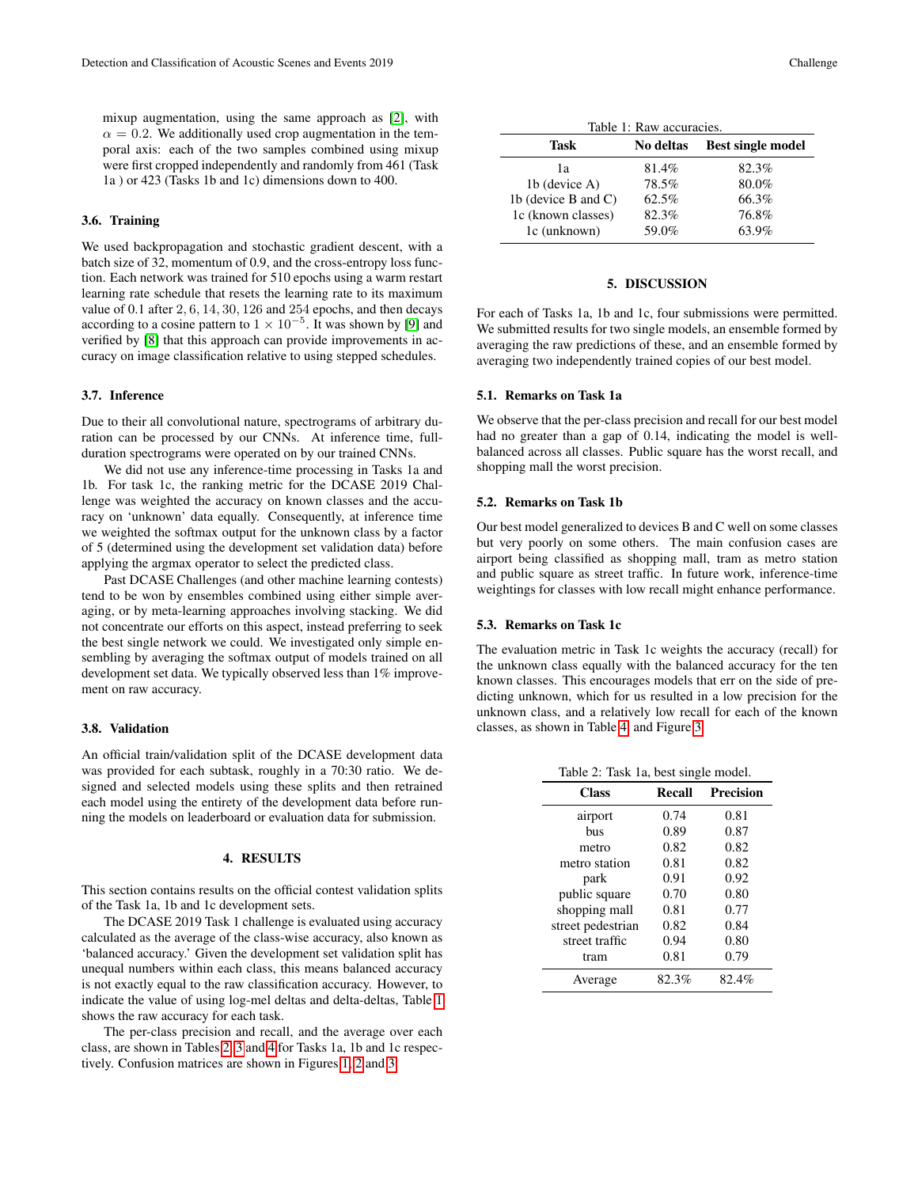mixup augmentation, using the same approach as [\[2\]](#page-4-1), with  $\alpha = 0.2$ . We additionally used crop augmentation in the temporal axis: each of the two samples combined using mixup were first cropped independently and randomly from 461 (Task 1a ) or 423 (Tasks 1b and 1c) dimensions down to 400.

## 3.6. Training

We used backpropagation and stochastic gradient descent, with a batch size of 32, momentum of 0.9, and the cross-entropy loss function. Each network was trained for 510 epochs using a warm restart learning rate schedule that resets the learning rate to its maximum value of 0.1 after 2, 6, 14, 30, 126 and 254 epochs, and then decays according to a cosine pattern to  $1 \times 10^{-5}$ . It was shown by [\[9\]](#page-4-7) and verified by [\[8\]](#page-4-6) that this approach can provide improvements in accuracy on image classification relative to using stepped schedules.

## 3.7. Inference

Due to their all convolutional nature, spectrograms of arbitrary duration can be processed by our CNNs. At inference time, fullduration spectrograms were operated on by our trained CNNs.

We did not use any inference-time processing in Tasks 1a and 1b. For task 1c, the ranking metric for the DCASE 2019 Challenge was weighted the accuracy on known classes and the accuracy on 'unknown' data equally. Consequently, at inference time we weighted the softmax output for the unknown class by a factor of 5 (determined using the development set validation data) before applying the argmax operator to select the predicted class.

Past DCASE Challenges (and other machine learning contests) tend to be won by ensembles combined using either simple averaging, or by meta-learning approaches involving stacking. We did not concentrate our efforts on this aspect, instead preferring to seek the best single network we could. We investigated only simple ensembling by averaging the softmax output of models trained on all development set data. We typically observed less than 1% improvement on raw accuracy.

#### 3.8. Validation

An official train/validation split of the DCASE development data was provided for each subtask, roughly in a 70:30 ratio. We designed and selected models using these splits and then retrained each model using the entirety of the development data before running the models on leaderboard or evaluation data for submission.

## 4. RESULTS

<span id="page-2-0"></span>This section contains results on the official contest validation splits of the Task 1a, 1b and 1c development sets.

The DCASE 2019 Task 1 challenge is evaluated using accuracy calculated as the average of the class-wise accuracy, also known as 'balanced accuracy.' Given the development set validation split has unequal numbers within each class, this means balanced accuracy is not exactly equal to the raw classification accuracy. However, to indicate the value of using log-mel deltas and delta-deltas, Table [1](#page-2-1) shows the raw accuracy for each task.

The per-class precision and recall, and the average over each class, are shown in Tables [2,](#page-2-2) [3](#page-3-0) and [4](#page-3-1) for Tasks 1a, 1b and 1c respectively. Confusion matrices are shown in Figures [1,](#page-3-2) [2](#page-3-3) and [3.](#page-3-4)

<span id="page-2-1"></span>

| Table 1: Raw accuracies. |           |                          |  |
|--------------------------|-----------|--------------------------|--|
| Task                     | No deltas | <b>Best single model</b> |  |
| lа                       | 81.4%     | 82.3%                    |  |
| 1b (device A)            | 78.5%     | 80.0%                    |  |
| 1b (device B and $C$ )   | 62.5%     | 66.3%                    |  |
| 1c (known classes)       | 82.3%     | 76.8%                    |  |
| 1c (unknown)             | 59.0%     | 63.9%                    |  |

#### 5. DISCUSSION

For each of Tasks 1a, 1b and 1c, four submissions were permitted. We submitted results for two single models, an ensemble formed by averaging the raw predictions of these, and an ensemble formed by averaging two independently trained copies of our best model.

## 5.1. Remarks on Task 1a

We observe that the per-class precision and recall for our best model had no greater than a gap of 0.14, indicating the model is wellbalanced across all classes. Public square has the worst recall, and shopping mall the worst precision.

#### 5.2. Remarks on Task 1b

Our best model generalized to devices B and C well on some classes but very poorly on some others. The main confusion cases are airport being classified as shopping mall, tram as metro station and public square as street traffic. In future work, inference-time weightings for classes with low recall might enhance performance.

#### 5.3. Remarks on Task 1c

The evaluation metric in Task 1c weights the accuracy (recall) for the unknown class equally with the balanced accuracy for the ten known classes. This encourages models that err on the side of predicting unknown, which for us resulted in a low precision for the unknown class, and a relatively low recall for each of the known classes, as shown in Table [4,](#page-3-1) and Figure [3.](#page-3-4)

<span id="page-2-2"></span>

| Table 2: Task 1a, best single model. |  |  |  |  |  |
|--------------------------------------|--|--|--|--|--|
|--------------------------------------|--|--|--|--|--|

| <b>Class</b>      | Recall | <b>Precision</b> |
|-------------------|--------|------------------|
| airport           | 0.74   | 0.81             |
| bus               | 0.89   | 0.87             |
| metro             | 0.82   | 0.82             |
| metro station     | 0.81   | 0.82             |
| park              | 0.91   | 0.92             |
| public square     | 0.70   | 0.80             |
| shopping mall     | 0.81   | 0.77             |
| street pedestrian | 0.82   | 0.84             |
| street traffic    | 0.94   | 0.80             |
| tram              | 0.81   | 0.79             |
| Average           | 82.3%  | 82.4%            |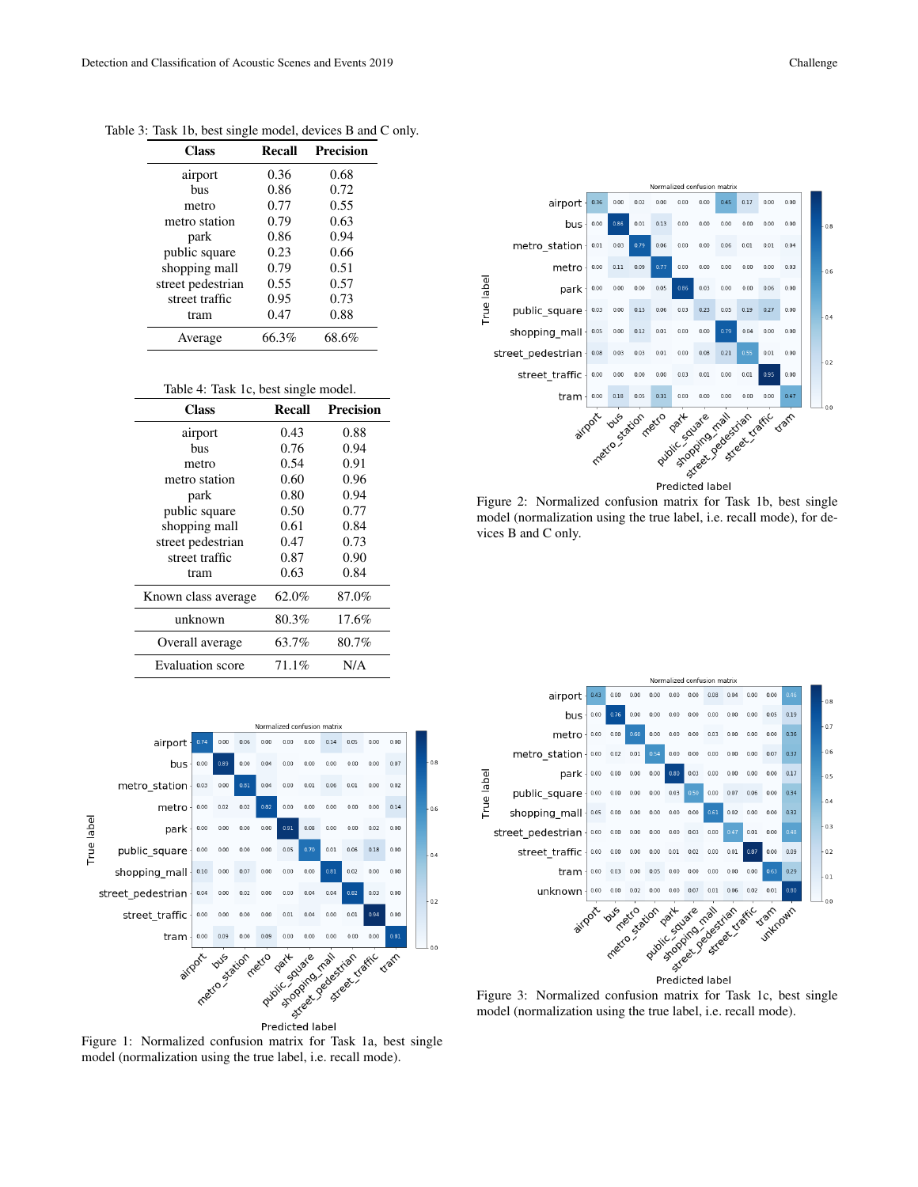<span id="page-3-0"></span>

| Class             | Recall | Precision |
|-------------------|--------|-----------|
| airport           | 0.36   | 0.68      |
| bus               | 0.86   | 0.72      |
| metro             | 0.77   | 0.55      |
| metro station     | 0.79   | 0.63      |
| park              | 0.86   | 0.94      |
| public square     | 0.23   | 0.66      |
| shopping mall     | 0.79   | 0.51      |
| street pedestrian | 0.55   | 0.57      |
| street traffic    | 0.95   | 0.73      |
| tram              | 0.47   | 0.88      |
| Average           | 66.3%  | 68.6%     |

Table 3: Task 1b, best single model, devices B and C only.

<span id="page-3-1"></span>

| Table 4: Task 1c, best single model. |  |  |  |  |
|--------------------------------------|--|--|--|--|
|--------------------------------------|--|--|--|--|

| <b>Class</b>            | <b>Recall</b> | <b>Precision</b> |
|-------------------------|---------------|------------------|
| airport                 | 0.43          | 0.88             |
| hus                     | 0.76          | 0.94             |
| metro                   | 0.54          | 0.91             |
| metro station           | 0.60          | 0.96             |
| park                    | 0.80          | 0.94             |
| public square           | 0.50          | 0.77             |
| shopping mall           | 0.61          | 0.84             |
| street pedestrian       | 0.47          | 0.73             |
| street traffic          | 0.87          | 0.90             |
| tram                    | 0.63          | 0.84             |
| Known class average     | 62.0%         | 87.0%            |
| unknown                 | 80.3%         | 17.6%            |
| Overall average         | 63.7%         | 80.7%            |
| <b>Evaluation</b> score | 71.1%         | N/A              |



<span id="page-3-2"></span>Figure 1: Normalized confusion matrix for Task 1a, best single model (normalization using the true label, i.e. recall mode).



<span id="page-3-3"></span>Figure 2: Normalized confusion matrix for Task 1b, best single model (normalization using the true label, i.e. recall mode), for devices B and C only.



<span id="page-3-4"></span>Figure 3: Normalized confusion matrix for Task 1c, best single model (normalization using the true label, i.e. recall mode).